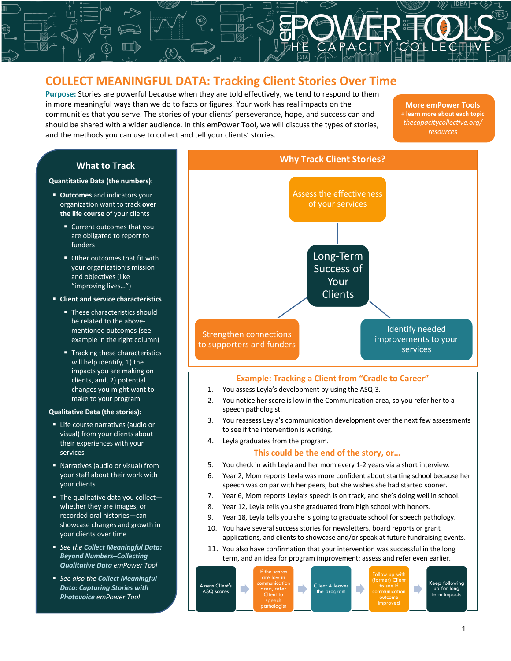# **COLLECT MEANINGFUL DATA: Tracking Client Stories Over Time**

|<br>|<br>|<br>|

**Purpose:** Stories are powerful because when they are told effectively, we tend to respond to them<br>in more meaningful ways than we do to facts or figures. Your work has real impacts on the<br>communities that you serve. The s **Purpose:** Stories are powerful because when they are told effectively, we tend to respond to them in more meaningful ways than we do to facts or figures. Your work has real impacts on the communities that you serve. The stories of your clients' perseverance, hope, and success can and and the methods you can use to collect and tell your clients' stories.

**More emPower Tools + learn more about each topic** *thecapacitycollective.org/ resources*

# **What to Track**

#### **Quantitative Data (the numbers):**

- § **Outcomes** and indicators your organization want to track **over the life course** of your clients
	- Current outcomes that you are obligated to report to funders
	- Other outcomes that fit with your organization's mission and objectives (like "improving lives…")
- § **Client and service characteristics**
	- These characteristics should be related to the abovementioned outcomes (see example in the right column)
	- **•** Tracking these characteristics will help identify, 1) the impacts you are making on clients, and, 2) potential changes you might want to make to your program

### **Qualitative Data (the stories):**

- Life course narratives (audio or visual) from your clients about their experiences with your services
- Narratives (audio or visual) from your staff about their work with your clients
- $\blacksquare$  The qualitative data you collectwhether they are images, or recorded oral histories—can showcase changes and growth in your clients over time
- § *See the Collect Meaningful Data: Beyond Numbers–Collecting Qualitative Data emPower Tool*
- See also the **Collect Meaningful** *Data: Capturing Stories with Photovoice emPower Tool*